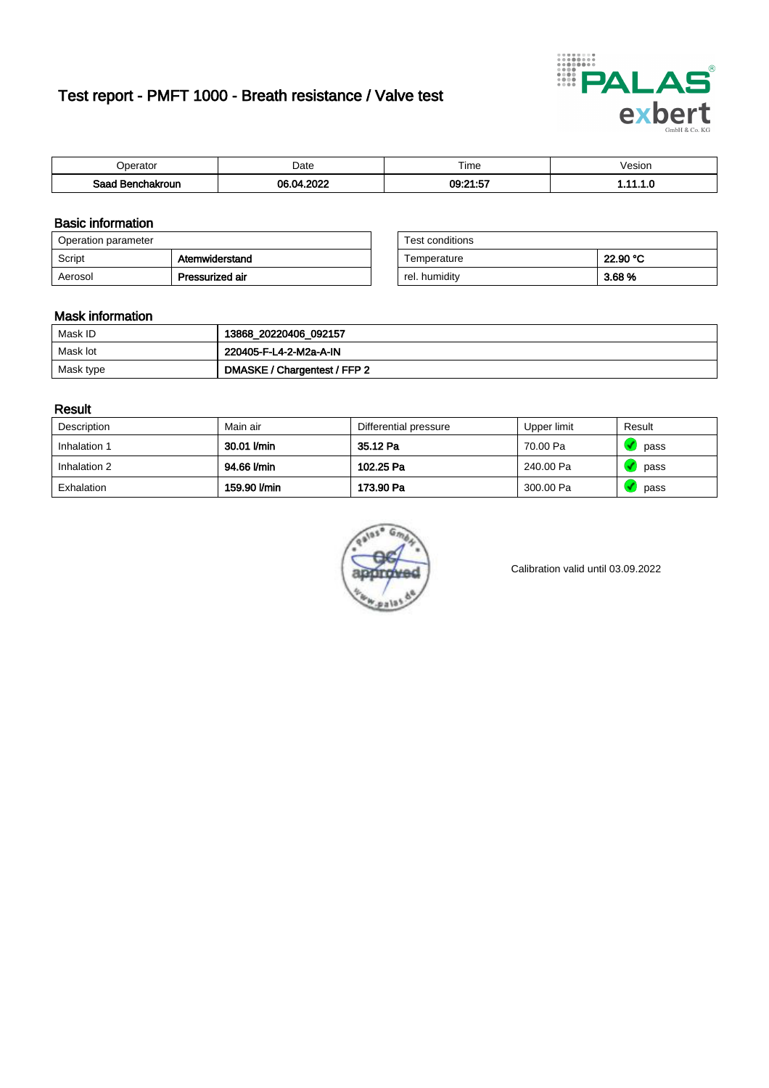# Test report - PMFT 1000 - Breath resistance / Valve test



| <b>'</b> perator                | Date       | $- \cdot$<br><b>Time</b> | /esion |
|---------------------------------|------------|--------------------------|--------|
| Saad<br><b>ochakroun</b><br>. . | 0000<br>በዶ | 09:21:57<br>ı.v          | .      |

### Basic information

| Operation parameter |                 | Test conditions |          |
|---------------------|-----------------|-----------------|----------|
| Script              | Atemwiderstand  | Temperature     | 22.90 °C |
| Aerosol             | Pressurized air | rel. humidity   | 3.68 %   |

| Test conditions |          |
|-----------------|----------|
| Temperature     | 22.90 °C |
| rel. humidity   | 3.68%    |

### Mask information

| Mask ID   | 13868_20220406_092157        |
|-----------|------------------------------|
| Mask lot  | 220405-F-L4-2-M2a-A-IN       |
| Mask type | DMASKE / Chargentest / FFP 2 |

### Result

| Description  | Main air     | Differential pressure | Upper limit | Result |
|--------------|--------------|-----------------------|-------------|--------|
| Inhalation 1 | 30.01 l/min  | 35.12 Pa              | 70.00 Pa    | pass   |
| Inhalation 2 | 94.66 l/min  | 102.25 Pa             | 240.00 Pa   | pass   |
| Exhalation   | 159.90 l/min | 173.90 Pa             | 300.00 Pa   | pass   |



Calibration valid until 03.09.2022